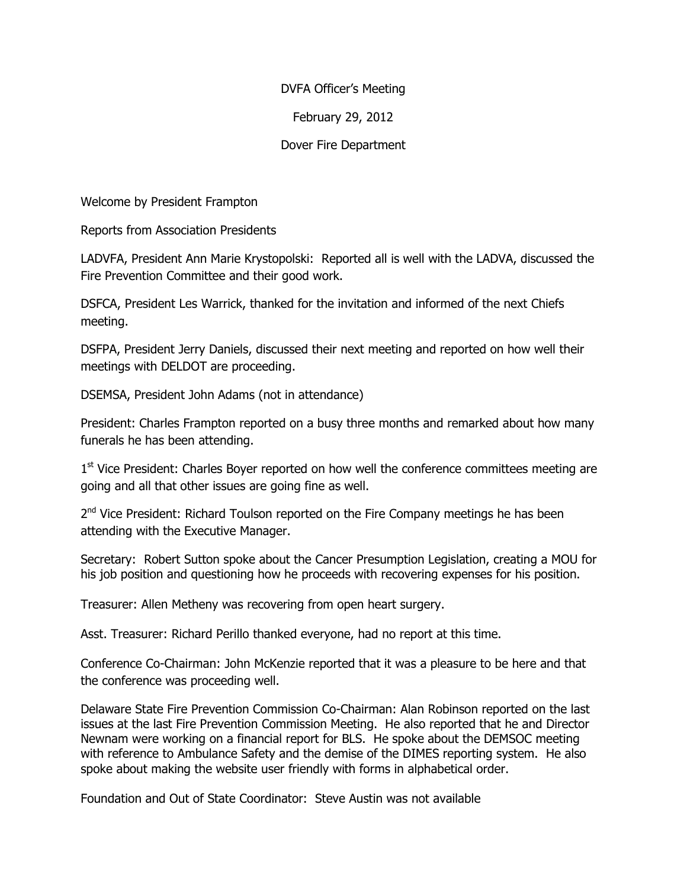## DVFA Officer's Meeting

## February 29, 2012

## Dover Fire Department

Welcome by President Frampton

Reports from Association Presidents

LADVFA, President Ann Marie Krystopolski: Reported all is well with the LADVA, discussed the Fire Prevention Committee and their good work.

DSFCA, President Les Warrick, thanked for the invitation and informed of the next Chiefs meeting.

DSFPA, President Jerry Daniels, discussed their next meeting and reported on how well their meetings with DELDOT are proceeding.

DSEMSA, President John Adams (not in attendance)

President: Charles Frampton reported on a busy three months and remarked about how many funerals he has been attending.

1<sup>st</sup> Vice President: Charles Boyer reported on how well the conference committees meeting are going and all that other issues are going fine as well.

2<sup>nd</sup> Vice President: Richard Toulson reported on the Fire Company meetings he has been attending with the Executive Manager.

Secretary: Robert Sutton spoke about the Cancer Presumption Legislation, creating a MOU for his job position and questioning how he proceeds with recovering expenses for his position.

Treasurer: Allen Metheny was recovering from open heart surgery.

Asst. Treasurer: Richard Perillo thanked everyone, had no report at this time.

Conference Co-Chairman: John McKenzie reported that it was a pleasure to be here and that the conference was proceeding well.

Delaware State Fire Prevention Commission Co-Chairman: Alan Robinson reported on the last issues at the last Fire Prevention Commission Meeting. He also reported that he and Director Newnam were working on a financial report for BLS. He spoke about the DEMSOC meeting with reference to Ambulance Safety and the demise of the DIMES reporting system. He also spoke about making the website user friendly with forms in alphabetical order.

Foundation and Out of State Coordinator: Steve Austin was not available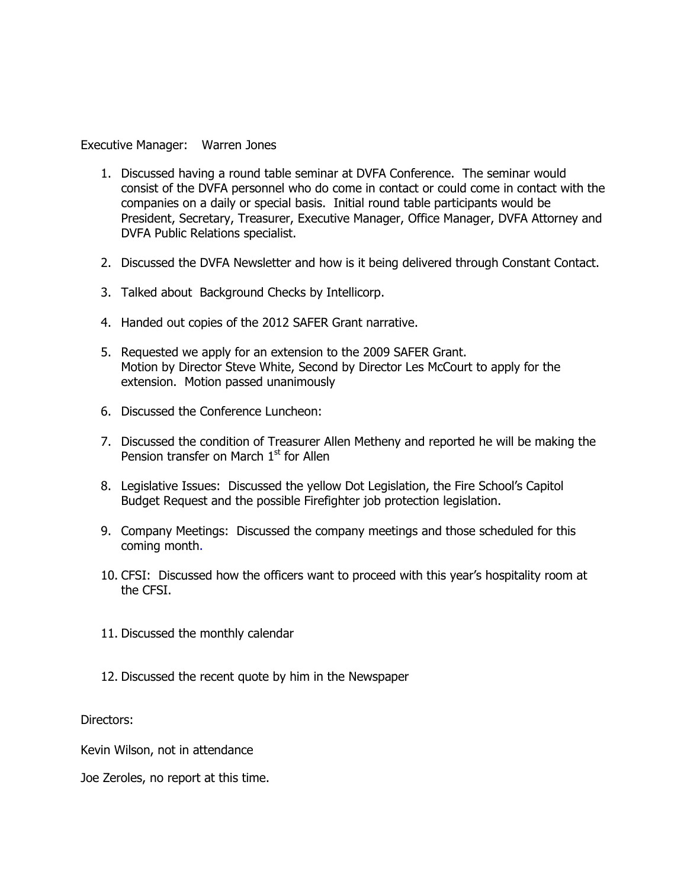Executive Manager: Warren Jones

- 1. Discussed having a round table seminar at DVFA Conference. The seminar would consist of the DVFA personnel who do come in contact or could come in contact with the companies on a daily or special basis. Initial round table participants would be President, Secretary, Treasurer, Executive Manager, Office Manager, DVFA Attorney and DVFA Public Relations specialist.
- 2. Discussed the DVFA Newsletter and how is it being delivered through Constant Contact.
- 3. Talked about Background Checks by Intellicorp.
- 4. Handed out copies of the 2012 SAFER Grant narrative.
- 5. Requested we apply for an extension to the 2009 SAFER Grant. Motion by Director Steve White, Second by Director Les McCourt to apply for the extension. Motion passed unanimously
- 6. Discussed the Conference Luncheon:
- 7. Discussed the condition of Treasurer Allen Metheny and reported he will be making the Pension transfer on March  $1<sup>st</sup>$  for Allen
- 8. Legislative Issues: Discussed the yellow Dot Legislation, the Fire School's Capitol Budget Request and the possible Firefighter job protection legislation.
- 9. Company Meetings: Discussed the company meetings and those scheduled for this coming month.
- 10. CFSI: Discussed how the officers want to proceed with this year's hospitality room at the CFSI.
- 11. Discussed the monthly calendar
- 12. Discussed the recent quote by him in the Newspaper

Directors:

Kevin Wilson, not in attendance

Joe Zeroles, no report at this time.